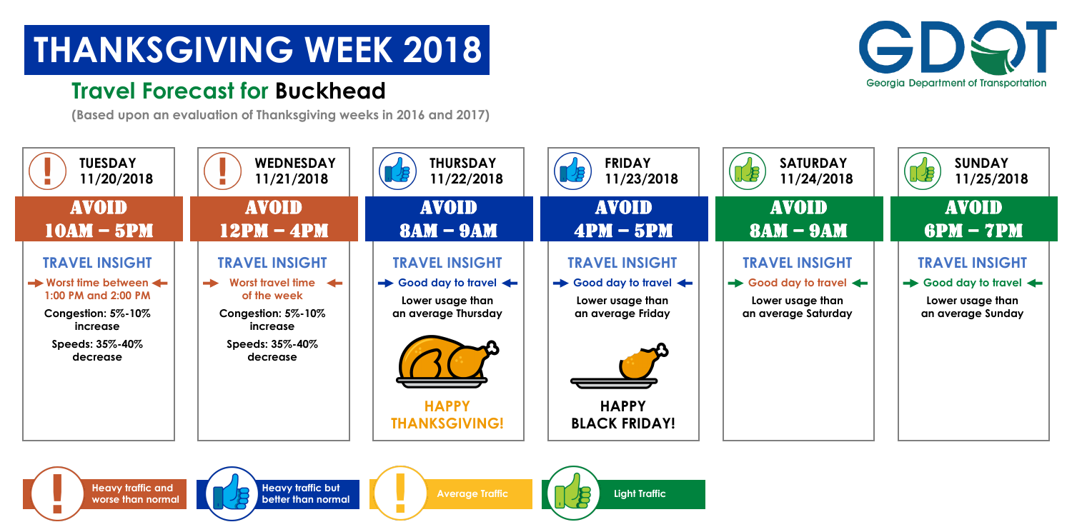



**Heavy traffic but** 





### **Travel Forecast for Buckhead**

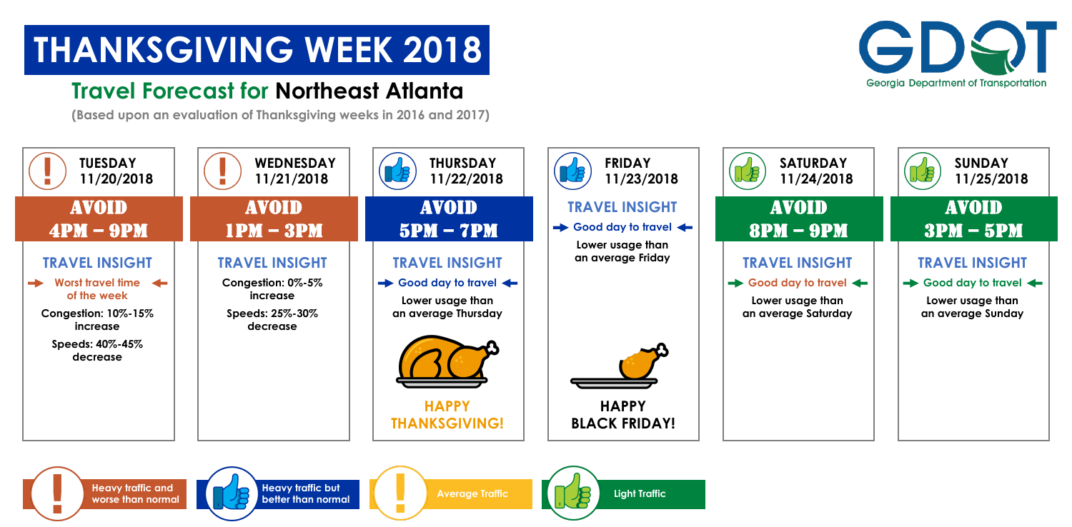![](_page_1_Picture_4.jpeg)

![](_page_1_Picture_5.jpeg)

**Heavy traffic but** 

![](_page_1_Picture_7.jpeg)

![](_page_1_Picture_8.jpeg)

### **Travel Forecast for Northeast Atlanta**

![](_page_1_Figure_3.jpeg)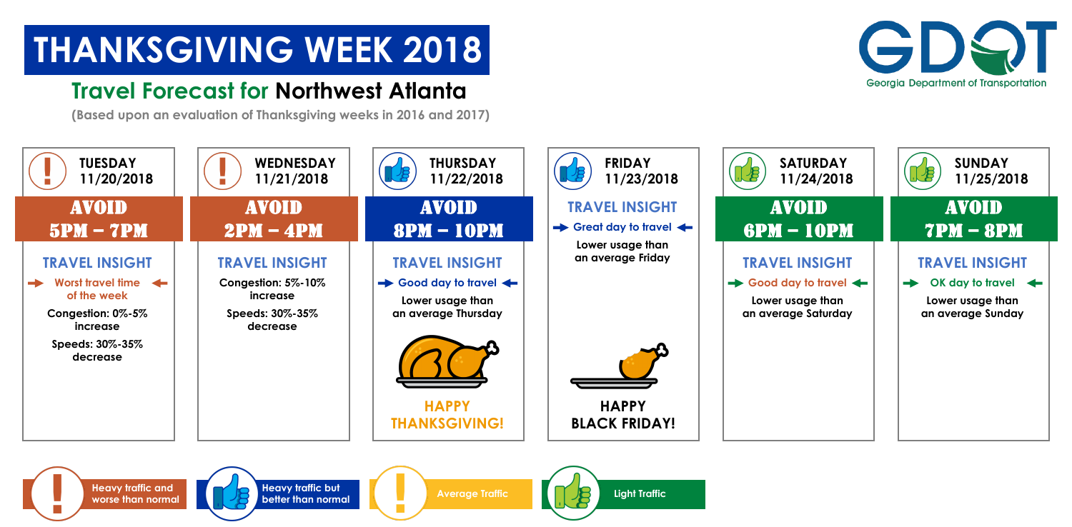![](_page_2_Picture_4.jpeg)

![](_page_2_Picture_5.jpeg)

**Heavy traffic but** 

![](_page_2_Picture_7.jpeg)

### **Travel Forecast for Northwest Atlanta**

![](_page_2_Figure_3.jpeg)

![](_page_2_Picture_8.jpeg)

![](_page_2_Picture_10.jpeg)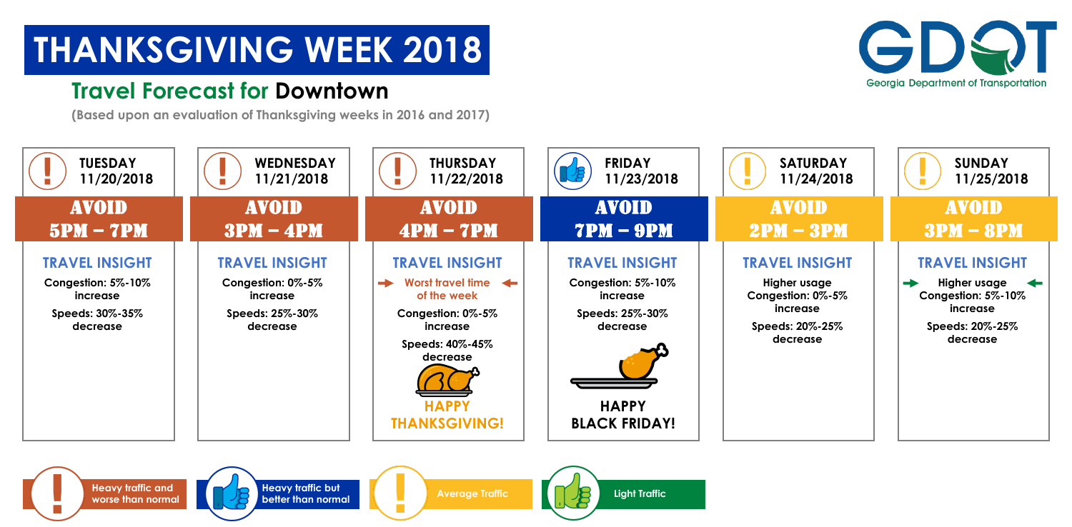![](_page_3_Picture_4.jpeg)

![](_page_3_Picture_5.jpeg)

**Heavy traffic but** 

![](_page_3_Picture_8.jpeg)

#### **Travel Forecast for Downtown**

![](_page_3_Figure_3.jpeg)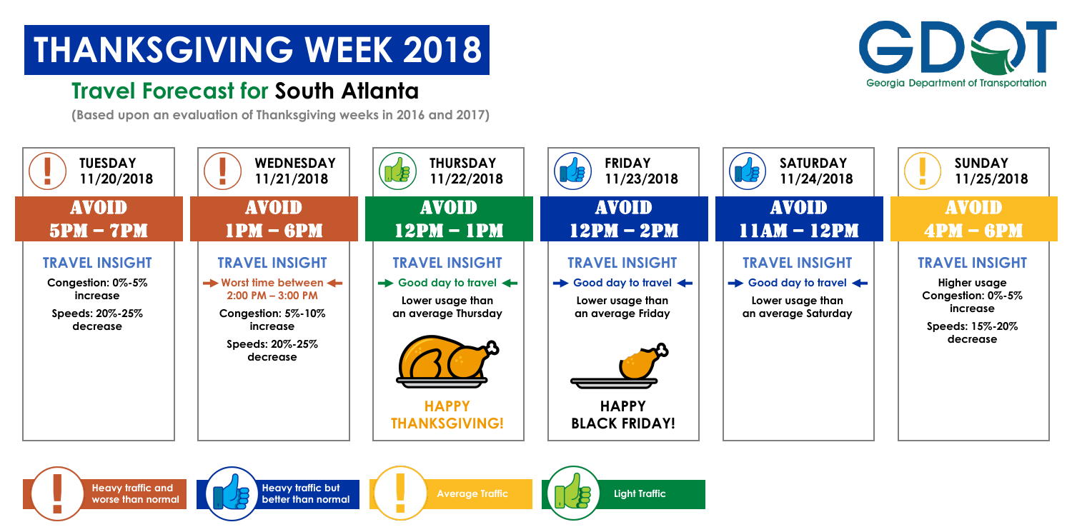![](_page_4_Picture_4.jpeg)

![](_page_4_Picture_5.jpeg)

**Heavy traffic but** 

![](_page_4_Picture_8.jpeg)

### **Travel Forecast for South Atlanta**

![](_page_4_Figure_3.jpeg)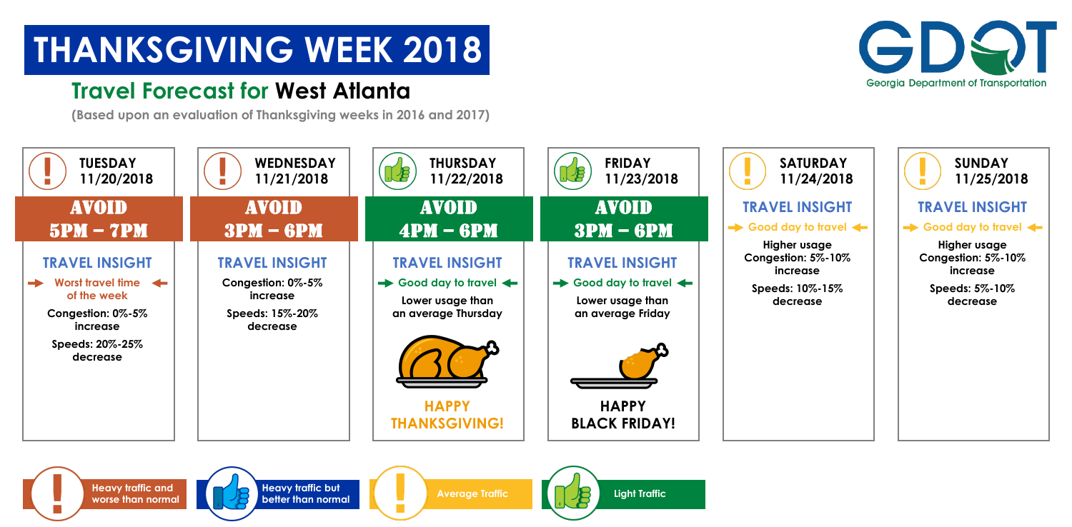![](_page_5_Picture_4.jpeg)

![](_page_5_Picture_5.jpeg)

**Heavy traffic but** 

![](_page_5_Picture_8.jpeg)

### **Travel Forecast for West Atlanta**

![](_page_5_Figure_3.jpeg)

![](_page_5_Picture_11.jpeg)